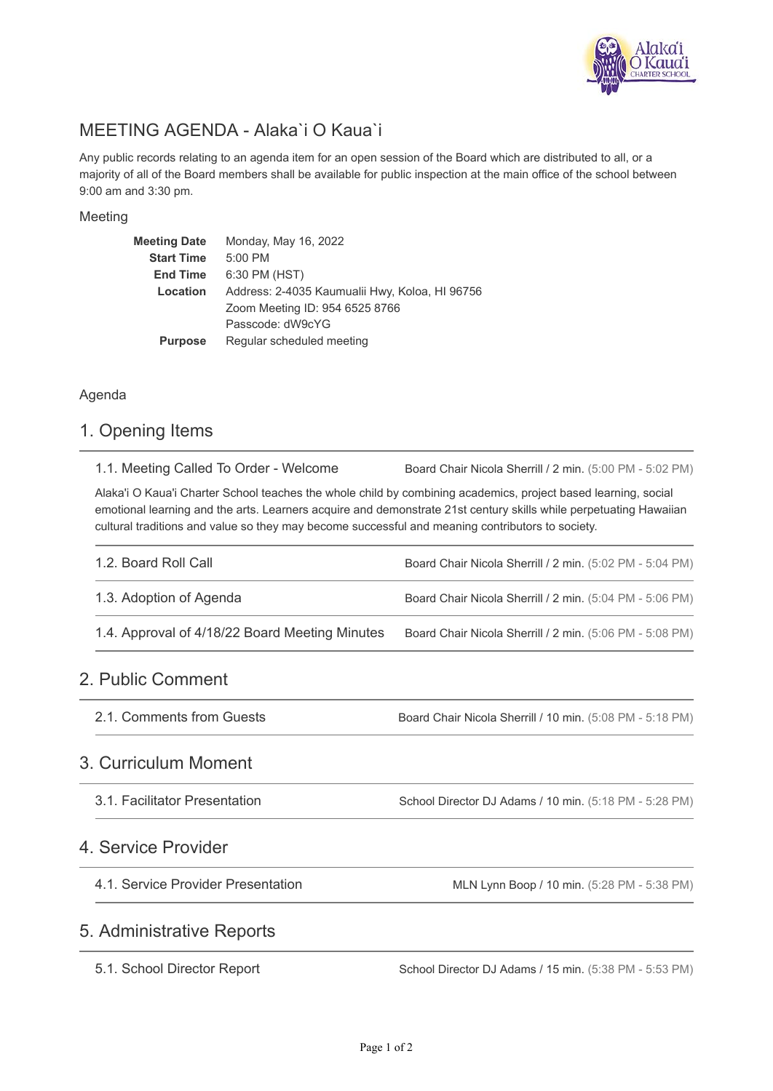

# MEETING AGENDA - Alaka`i O Kaua`i

Any public records relating to an agenda item for an open session of the Board which are distributed to all, or a majority of all of the Board members shall be available for public inspection at the main office of the school between 9:00 am and 3:30 pm.

#### Meeting

| <b>Meeting Date</b> | Monday, May 16, 2022                           |  |
|---------------------|------------------------------------------------|--|
| <b>Start Time</b>   | 5:00 PM                                        |  |
| <b>End Time</b>     | 6:30 PM (HST)                                  |  |
| Location            | Address: 2-4035 Kaumualii Hwy, Koloa, HI 96756 |  |
|                     | Zoom Meeting ID: 954 6525 8766                 |  |
|                     | Passcode: dW9cYG                               |  |
| <b>Purpose</b>      | Regular scheduled meeting                      |  |

#### Agenda

## 1. Opening Items

Board Chair Nicola Sherrill / 2 min. (5:00 PM - 5:02 PM) 1.1. Meeting Called To Order - Welcome

Alaka'i O Kaua'i Charter School teaches the whole child by combining academics, project based learning, social emotional learning and the arts. Learners acquire and demonstrate 21st century skills while perpetuating Hawaiian cultural traditions and value so they may become successful and meaning contributors to society.

| 1.2. Board Roll Call                           | Board Chair Nicola Sherrill / 2 min. (5:02 PM - 5:04 PM) |
|------------------------------------------------|----------------------------------------------------------|
| 1.3. Adoption of Agenda                        | Board Chair Nicola Sherrill / 2 min. (5:04 PM - 5:06 PM) |
| 1.4. Approval of 4/18/22 Board Meeting Minutes | Board Chair Nicola Sherrill / 2 min. (5:06 PM - 5:08 PM) |

## 2. Public Comment

Board Chair Nicola Sherrill / 10 min. (5:08 PM - 5:18 PM) 2.1. Comments from Guests

#### 3. Curriculum Moment

School Director DJ Adams / 10 min. (5:18 PM - 5:28 PM) 3.1. Facilitator Presentation

### 4. Service Provider

4.1. Service Provider Presentation

MLN Lynn Boop / 10 min. (5:28 PM - 5:38 PM)

### 5. Administrative Reports

5.1. School Director Report

School Director DJ Adams / 15 min. (5:38 PM - 5:53 PM)